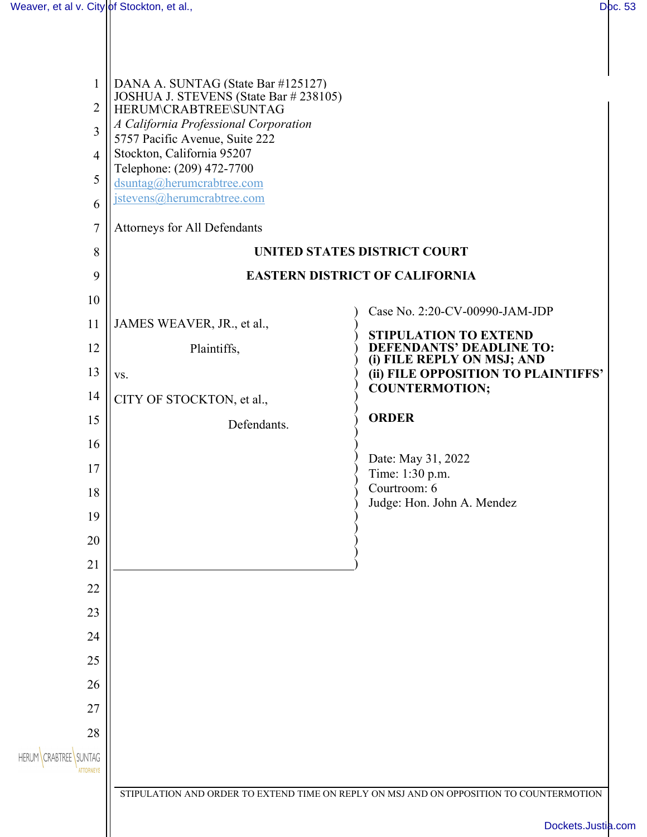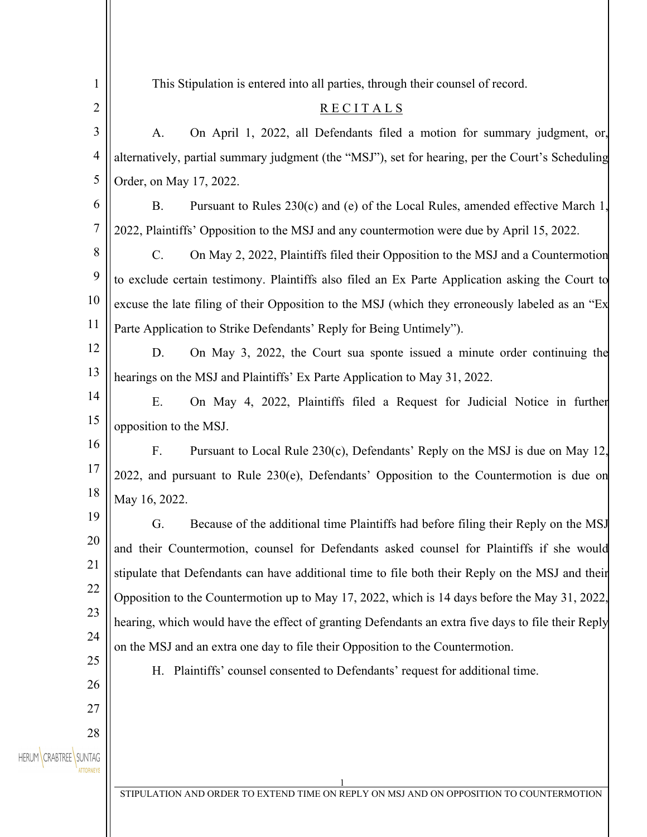| $\mathbf{1}$                | This Stipulation is entered into all parties, through their counsel of record.                     |
|-----------------------------|----------------------------------------------------------------------------------------------------|
| 2                           | RECITALS                                                                                           |
| 3                           | On April 1, 2022, all Defendants filed a motion for summary judgment, or,<br>A.                    |
| 4                           | alternatively, partial summary judgment (the "MSJ"), set for hearing, per the Court's Scheduling   |
| 5                           | Order, on May 17, 2022.                                                                            |
| 6                           | <b>B.</b><br>Pursuant to Rules 230(c) and (e) of the Local Rules, amended effective March 1,       |
| $\boldsymbol{7}$            | 2022, Plaintiffs' Opposition to the MSJ and any countermotion were due by April 15, 2022.          |
| 8                           | C.<br>On May 2, 2022, Plaintiffs filed their Opposition to the MSJ and a Countermotion             |
| 9                           | to exclude certain testimony. Plaintiffs also filed an Ex Parte Application asking the Court to    |
| 10                          | excuse the late filing of their Opposition to the MSJ (which they erroneously labeled as an "Ex    |
| 11                          | Parte Application to Strike Defendants' Reply for Being Untimely").                                |
| 12                          | D.<br>On May 3, 2022, the Court sua sponte issued a minute order continuing the                    |
| 13                          | hearings on the MSJ and Plaintiffs' Ex Parte Application to May 31, 2022.                          |
| 14                          | E.<br>On May 4, 2022, Plaintiffs filed a Request for Judicial Notice in further                    |
| 15                          | opposition to the MSJ.                                                                             |
| 16                          | F.<br>Pursuant to Local Rule $230(c)$ , Defendants' Reply on the MSJ is due on May 12,             |
| 17                          | 2022, and pursuant to Rule $230(e)$ , Defendants' Opposition to the Countermotion is due on        |
| 18                          | May 16, 2022.                                                                                      |
| 19                          | Because of the additional time Plaintiffs had before filing their Reply on the MSJ<br>G.           |
| 20                          | and their Countermotion, counsel for Defendants asked counsel for Plaintiffs if she would          |
| 21                          | stipulate that Defendants can have additional time to file both their Reply on the MSJ and their   |
| 22                          | Opposition to the Countermotion up to May 17, 2022, which is 14 days before the May 31, 2022,      |
| 23                          | hearing, which would have the effect of granting Defendants an extra five days to file their Reply |
| 24                          | on the MSJ and an extra one day to file their Opposition to the Countermotion.                     |
| 25                          | H. Plaintiffs' counsel consented to Defendants' request for additional time.                       |
| 26                          |                                                                                                    |
| 27                          |                                                                                                    |
| 28<br>HERUM CRABTREE SUNTAG |                                                                                                    |
|                             |                                                                                                    |
|                             | STIPULATION AND ORDER TO EXTEND TIME ON REPLY ON MSJ AND ON OPPOSITION TO COUNTERMOTION            |
|                             |                                                                                                    |
|                             |                                                                                                    |